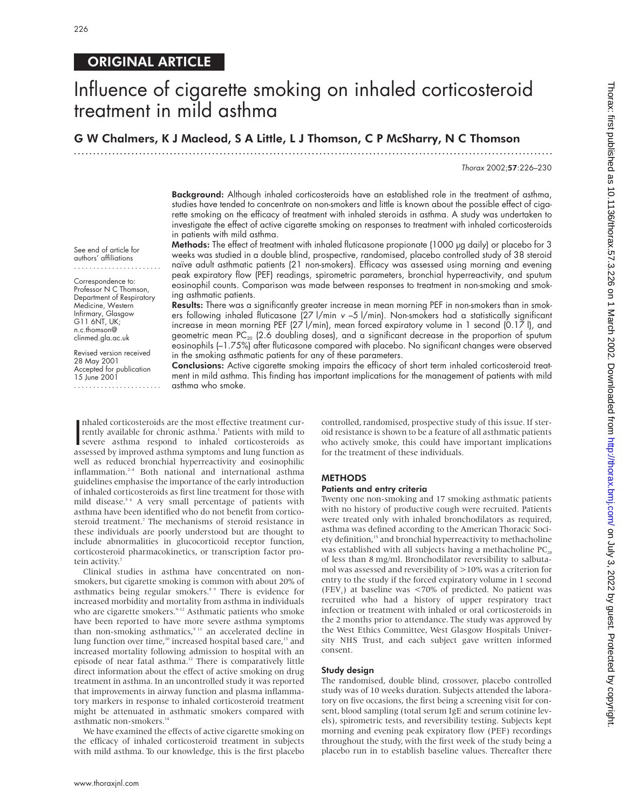See end of article for authors' affiliations ....................... Correspondence to: Professor N C Thomson, Department of Respiratory Medicine, Western Infirmary, Glasgow G11 6NT, UK; n.c.thomson@ clinmed.gla.ac.uk Revised version received 28 May 2001 Accepted for publication 15 June 2001

.......................

## ORIGINAL ARTICLE

# Influence of cigarette smoking on inhaled corticosteroid treatment in mild asthma

G W Chalmers, K J Macleod, S A Little, L J Thomson, C P McSharry, N C Thomson

.............................................................................................................................

Thorax 2002;57:226–230

**Background:** Although inhaled corticosteroids have an established role in the treatment of asthma, studies have tended to concentrate on non-smokers and little is known about the possible effect of cigarette smoking on the efficacy of treatment with inhaled steroids in asthma. A study was undertaken to investigate the effect of active cigarette smoking on responses to treatment with inhaled corticosteroids in patients with mild asthma.

Methods: The effect of treatment with inhaled fluticasone propionate (1000 µg daily) or placebo for 3 weeks was studied in a double blind, prospective, randomised, placebo controlled study of 38 steroid naïve adult asthmatic patients (21 non-smokers). Efficacy was assessed using morning and evening peak expiratory flow (PEF) readings, spirometric parameters, bronchial hyperreactivity, and sputum eosinophil counts. Comparison was made between responses to treatment in non-smoking and smoking asthmatic patients.

Results: There was a significantly greater increase in mean morning PEF in non-smokers than in smokers following inhaled fluticasone (27 l/min <sup>v</sup> –5 l/min). Non-smokers had a statistically significant increase in mean morning PEF (27 l/min), mean forced expiratory volume in 1 second (0.17 l), and geometric mean  $PC_{20}$  (2.6 doubling doses), and a significant decrease in the proportion of sputum eosinophils (–1.75%) after fluticasone compared with placebo. No significant changes were observed in the smoking asthmatic patients for any of these parameters.

Conclusions: Active cigarette smoking impairs the efficacy of short term inhaled corticosteroid treatment in mild asthma. This finding has important implications for the management of patients with mild asthma who smoke.

Inhaled corticosteroids are the most effective treatment currently available for chronic asthma.<sup>1</sup> Patients with mild to severe asthma respond to inhaled corticosteroids as assessed by improved asthma symptoms and lung fu nhaled corticosteroids are the most effective treatment currently available for chronic asthma.<sup>1</sup> Patients with mild to assessed by improved asthma symptoms and lung function as well as reduced bronchial hyperreactivity and eosinophilic inflammation.2–4 Both national and international asthma guidelines emphasise the importance of the early introduction of inhaled corticosteroids as first line treatment for those with mild disease.<sup>5 6</sup> A very small percentage of patients with asthma have been identified who do not benefit from corticosteroid treatment.<sup>7</sup> The mechanisms of steroid resistance in these individuals are poorly understood but are thought to include abnormalities in glucocorticoid receptor function, corticosteroid pharmacokinetics, or transcription factor pro-

tein activity.<sup>7</sup> Clinical studies in asthma have concentrated on nonsmokers, but cigarette smoking is common with about 20% of asthmatics being regular smokers.<sup>8</sup> <sup>9</sup> There is evidence for increased morbidity and mortality from asthma in individuals who are cigarette smokers.<sup>9-12</sup> Asthmatic patients who smoke have been reported to have more severe asthma symptoms than non-smoking asthmatics,<sup>9 11</sup> an accelerated decline in lung function over time,<sup>10</sup> increased hospital based care,<sup>13</sup> and increased mortality following admission to hospital with an episode of near fatal asthma.12 There is comparatively little direct information about the effect of active smoking on drug treatment in asthma. In an uncontrolled study it was reported that improvements in airway function and plasma inflammatory markers in response to inhaled corticosteroid treatment might be attenuated in asthmatic smokers compared with asthmatic non-smokers.<sup>14</sup>

We have examined the effects of active cigarette smoking on the efficacy of inhaled corticosteroid treatment in subjects with mild asthma. To our knowledge, this is the first placebo

controlled, randomised, prospective study of this issue. If steroid resistance is shown to be a feature of all asthmatic patients who actively smoke, this could have important implications for the treatment of these individuals.

## METHODS

## Patients and entry criteria

Twenty one non-smoking and 17 smoking asthmatic patients with no history of productive cough were recruited. Patients were treated only with inhaled bronchodilators as required, asthma was defined according to the American Thoracic Society definition,<sup>15</sup> and bronchial hyperreactivity to methacholine was established with all subjects having a methacholine  $PC_{20}$ of less than 8 mg/ml. Bronchodilator reversibility to salbutamol was assessed and reversibility of >10% was a criterion for entry to the study if the forced expiratory volume in 1 second (FEV<sub>1</sub>) at baseline was  $\langle 70\%$  of predicted. No patient was recruited who had a history of upper respiratory tract infection or treatment with inhaled or oral corticosteroids in the 2 months prior to attendance. The study was approved by the West Ethics Committee, West Glasgow Hospitals University NHS Trust, and each subject gave written informed consent.

#### Study design

The randomised, double blind, crossover, placebo controlled study was of 10 weeks duration. Subjects attended the laboratory on five occasions, the first being a screening visit for consent, blood sampling (total serum IgE and serum cotinine levels), spirometric tests, and reversibility testing. Subjects kept morning and evening peak expiratory flow (PEF) recordings throughout the study, with the first week of the study being a placebo run in to establish baseline values. Thereafter there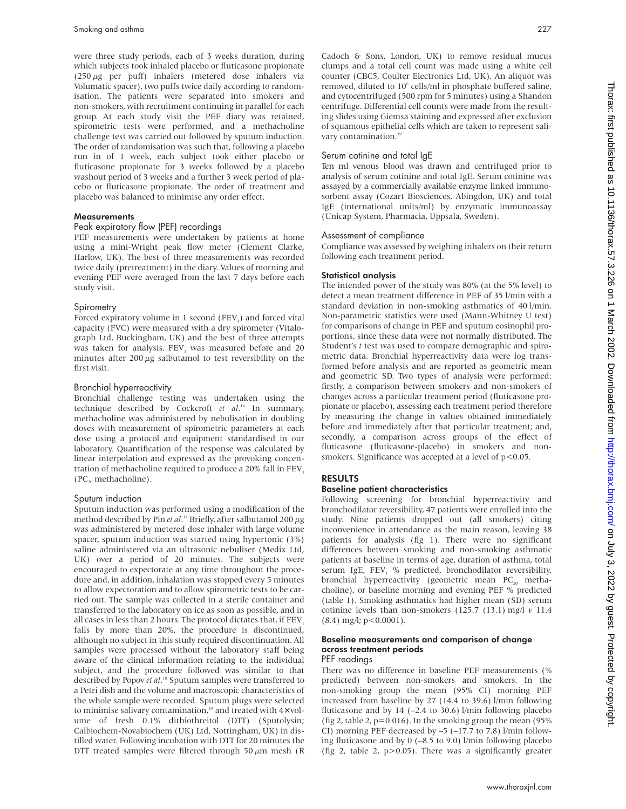were three study periods, each of 3 weeks duration, during which subjects took inhaled placebo or fluticasone propionate ( $250 \mu$ g per puff) inhalers (metered dose inhalers via Volumatic spacer), two puffs twice daily according to randomisation. The patients were separated into smokers and non-smokers, with recruitment continuing in parallel for each group. At each study visit the PEF diary was retained, spirometric tests were performed, and a methacholine challenge test was carried out followed by sputum induction. The order of randomisation was such that, following a placebo run in of 1 week, each subject took either placebo or fluticasone propionate for 3 weeks followed by a placebo washout period of 3 weeks and a further 3 week period of placebo or fluticasone propionate. The order of treatment and placebo was balanced to minimise any order effect.

## **Measurements**

## Peak expiratory flow (PEF) recordings

PEF measurements were undertaken by patients at home using a mini-Wright peak flow meter (Clement Clarke, Harlow, UK). The best of three measurements was recorded twice daily (pretreatment) in the diary. Values of morning and evening PEF were averaged from the last 7 days before each study visit.

## **Spirometry**

Forced expiratory volume in 1 second (FEV<sub>1</sub>) and forced vital capacity (FVC) were measured with a dry spirometer (Vitalograph Ltd, Buckingham, UK) and the best of three attempts was taken for analysis. FEV, was measured before and 20 minutes after  $200 \mu$ g salbutamol to test reversibility on the first visit.

## Bronchial hyperreactivity

Bronchial challenge testing was undertaken using the technique described by Cockcroft *et al*. <sup>16</sup> In summary, methacholine was administered by nebulisation in doubling doses with measurement of spirometric parameters at each dose using a protocol and equipment standardised in our laboratory. Quantification of the response was calculated by linear interpolation and expressed as the provoking concentration of methacholine required to produce a  $20\%$  fall in FEV<sub>1</sub>  $(PC_{20}$  methacholine).

## Sputum induction

Sputum induction was performed using a modification of the method described by Pin *et al*. <sup>17</sup> Briefly, after salbutamol 200 µg was administered by metered dose inhaler with large volume spacer, sputum induction was started using hypertonic (3%) saline administered via an ultrasonic nebuliser (Medix Ltd, UK) over a period of 20 minutes. The subjects were encouraged to expectorate at any time throughout the procedure and, in addition, inhalation was stopped every 5 minutes to allow expectoration and to allow spirometric tests to be carried out. The sample was collected in a sterile container and transferred to the laboratory on ice as soon as possible, and in all cases in less than 2 hours. The protocol dictates that, if  $FEV<sub>1</sub>$ falls by more than 20%, the procedure is discontinued, although no subject in this study required discontinuation. All samples were processed without the laboratory staff being aware of the clinical information relating to the individual subject, and the procedure followed was similar to that described by Popov *et al*. <sup>18</sup> Sputum samples were transferred to a Petri dish and the volume and macroscopic characteristics of the whole sample were recorded. Sputum plugs were selected to minimise salivary contamination, $19$  and treated with  $4 \times$  volume of fresh 0.1% dithiothreitol (DTT) (Sputolysin; Calbiochem-Novabiochem (UK) Ltd, Nottingham, UK) in distilled water. Following incubation with DTT for 20 minutes the DTT treated samples were filtered through 50  $\mu$ m mesh (R

Cadoch & Sons, London, UK) to remove residual mucus clumps and a total cell count was made using a white cell counter (CBC5, Coulter Electronics Ltd, UK). An aliquot was removed, diluted to 10<sup>6</sup> cells/ml in phosphate buffered saline, and cytocentrifuged (500 rpm for 5 minutes) using a Shandon centrifuge. Differential cell counts were made from the resulting slides using Giemsa staining and expressed after exclusion of squamous epithelial cells which are taken to represent salivary contamination.<sup>19</sup>

## Serum cotinine and total IgE

Ten ml venous blood was drawn and centrifuged prior to analysis of serum cotinine and total IgE. Serum cotinine was assayed by a commercially available enzyme linked immunosorbent assay (Cozart Biosciences, Abingdon, UK) and total IgE (international units/ml) by enzymatic immunoassay (Unicap System, Pharmacia, Uppsala, Sweden).

## Assessment of compliance

Compliance was assessed by weighing inhalers on their return following each treatment period.

## Statistical analysis

The intended power of the study was 80% (at the 5% level) to detect a mean treatment difference in PEF of 35 l/min with a standard deviation in non-smoking asthmatics of 40 l/min. Non-parametric statistics were used (Mann-Whitney U test) for comparisons of change in PEF and sputum eosinophil proportions, since these data were not normally distributed. The Student's *t* test was used to compare demographic and spirometric data. Bronchial hyperreactivity data were log transformed before analysis and are reported as geometric mean and geometric SD. Two types of analysis were performed: firstly, a comparison between smokers and non-smokers of changes across a particular treatment period (fluticasone propionate or placebo), assessing each treatment period therefore by measuring the change in values obtained immediately before and immediately after that particular treatment; and, secondly, a comparison across groups of the effect of fluticasone (fluticasone-placebo) in smokers and nonsmokers. Significance was accepted at a level of  $p < 0.05$ .

## RESULTS

## Baseline patient characteristics

Following screening for bronchial hyperreactivity and bronchodilator reversibility, 47 patients were enrolled into the study. Nine patients dropped out (all smokers) citing inconvenience in attendance as the main reason, leaving 38 patients for analysis (fig 1). There were no significant differences between smoking and non-smoking asthmatic patients at baseline in terms of age, duration of asthma, total serum IgE, FEV<sub>1</sub> % predicted, bronchodilator reversibility, bronchial hyperreactivity (geometric mean  $PC_{20}$  methacholine), or baseline morning and evening PEF % predicted (table 1). Smoking asthmatics had higher mean (SD) serum cotinine levels than non-smokers (125.7 (13.1) mg/l *v* 11.4  $(8.4)$  mg/l;  $p < 0.0001$ ).

## Baseline measurements and comparison of change across treatment periods PEF readings

There was no difference in baseline PEF measurements (% predicted) between non-smokers and smokers. In the non-smoking group the mean (95% CI) morning PEF increased from baseline by 27 (14.4 to 39.6) l/min following fluticasone and by  $14$  (-2.4 to 30.6) l/min following placebo (fig 2, table 2,  $p=0.016$ ). In the smoking group the mean (95%) CI) morning PEF decreased by –5 (–17.7 to 7.8) l/min following fluticasone and by 0 (–8.5 to 9.0) l/min following placebo (fig 2, table 2,  $p > 0.05$ ). There was a significantly greater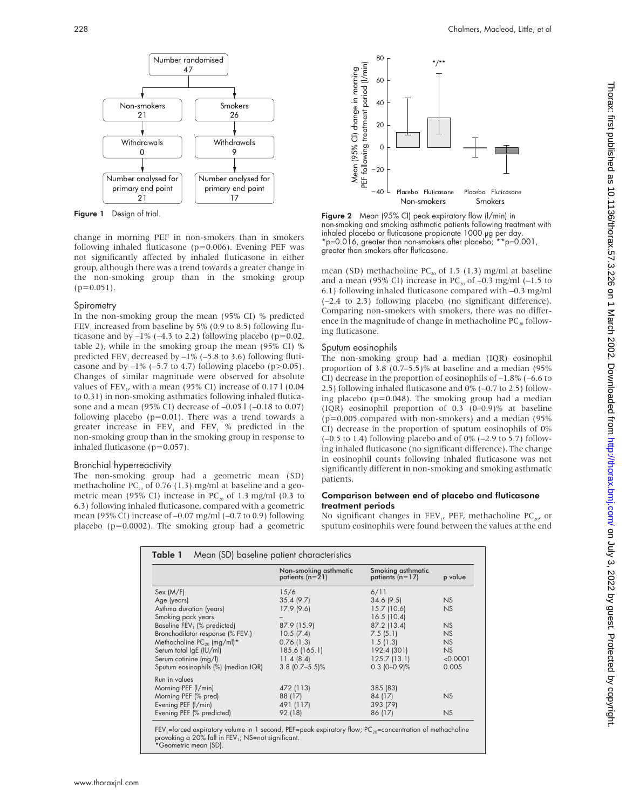

Figure 1 Design of trial.

change in morning PEF in non-smokers than in smokers following inhaled fluticasone (p=0.006). Evening PEF was not significantly affected by inhaled fluticasone in either group, although there was a trend towards a greater change in the non-smoking group than in the smoking group  $(p=0.051)$ .

## **Spirometry**

In the non-smoking group the mean (95% CI) % predicted FEV<sub>1</sub> increased from baseline by 5% (0.9 to 8.5) following fluticasone and by  $-1\%$  ( $-4.3$  to 2.2) following placebo ( $p=0.02$ , table 2), while in the smoking group the mean (95% CI) % predicted FEV<sub>1</sub> decreased by  $-1\%$  ( $-5.8$  to 3.6) following fluticasone and by  $-1\%$  ( $-5.7$  to 4.7) following placebo ( $p > 0.05$ ). Changes of similar magnitude were observed for absolute values of FEV<sub>1</sub>, with a mean (95% CI) increase of 0.17 l (0.04) to 0.31) in non-smoking asthmatics following inhaled fluticasone and a mean (95% CI) decrease of –0.05 l (–0.18 to 0.07) following placebo ( $p=0.01$ ). There was a trend towards a greater increase in  $FEV<sub>1</sub>$  and  $FEV<sub>1</sub>$  % predicted in the non-smoking group than in the smoking group in response to inhaled fluticasone (p=0.057).

## Bronchial hyperreactivity

The non-smoking group had a geometric mean (SD) methacholine  $PC_{20}$  of 0.76 (1.3) mg/ml at baseline and a geometric mean (95% CI) increase in  $PC_{20}$  of 1.3 mg/ml (0.3 to 6.3) following inhaled fluticasone, compared with a geometric mean (95% CI) increase of –0.07 mg/ml (–0.7 to 0.9) following placebo ( $p=0.0002$ ). The smoking group had a geometric



Figure 2 Mean (95% CI) peak expiratory flow (l/min) in non-smoking and smoking asthmatic patients following treatment with inhaled placebo or fluticasone propionate 1000 µg per day. \*p=0.016, greater than non-smokers after placebo; \*\*p=0.001, greater than smokers after fluticasone.

mean (SD) methacholine  $PC_{20}$  of 1.5 (1.3) mg/ml at baseline and a mean (95% CI) increase in  $PC_{20}$  of  $-0.3$  mg/ml (-1.5 to 6.1) following inhaled fluticasone compared with –0.3 mg/ml (–2.4 to 2.3) following placebo (no significant difference). Comparing non-smokers with smokers, there was no difference in the magnitude of change in methacholine  $PC_{20}$  following fluticasone.

## Sputum eosinophils

The non-smoking group had a median (IQR) eosinophil proportion of 3.8 (0.7–5.5)% at baseline and a median (95% CI) decrease in the proportion of eosinophils of –1.8% (–6.6 to 2.5) following inhaled fluticasone and 0% (–0.7 to 2.5) following placebo (p=0.048). The smoking group had a median (IQR) eosinophil proportion of 0.3 (0–0.9)% at baseline  $(p=0.005$  compared with non-smokers) and a median (95%) CI) decrease in the proportion of sputum eosinophils of 0% (–0.5 to 1.4) following placebo and of 0% (–2.9 to 5.7) following inhaled fluticasone (no significant difference). The change in eosinophil counts following inhaled fluticasone was not significantly different in non-smoking and smoking asthmatic patients.

## Comparison between end of placebo and fluticasone treatment periods

No significant changes in FEV<sub>1</sub>, PEF, methacholine PC<sub>20</sub>, or sputum eosinophils were found between the values at the end

|                                     | Non-smoking asthmatic | Smoking asthmatic | p value  |
|-------------------------------------|-----------------------|-------------------|----------|
|                                     | patients $(n=21)$     | patients $(n=17)$ |          |
| Sex (M/F)                           | 15/6                  | 6/11              |          |
| Age (years)                         | 35.4(9.7)             | 34.6(9.5)         | NS       |
| Asthma duration (years)             | 17.9(9.6)             | $15.7$ (10.6)     | NS       |
| Smoking pack years                  |                       | 16.5(10.4)        |          |
| Baseline FEV, (% predicted)         | 87.9 (15.9)           | 87.2 (13.4)       | NS       |
| Bronchodilator response (% FEV1)    | 10.5(7.4)             | 7.5(5.1)          | NS       |
| Methacholine $PC_{20}$ (mg/ml)*     | 0.76(1.3)             | 1.5(1.3)          | NS       |
| Serum total IgE (IU/ml)             | 185.6 (165.1)         | 192.4 (301)       | NS       |
| Serum cotinine (mg/l)               | 11.4(8.4)             | 125.7(13.1)       | < 0.0001 |
| Sputum eosinophils (%) (median IQR) | $3.8$ (0.7-5.5)%      | $0.3$ (0-0.9)%    | 0.005    |
| Run in values                       |                       |                   |          |
| Morning PEF (I/min)                 | 472 (113)             | 385 (83)          |          |
| Morning PEF (% pred)                | 88 (17)               | 84 (17)           | NS       |
| Evening PEF (I/min)                 | 491 (117)             | 393 (79)          |          |
| Evening PEF (% predicted)           | 92 (18)               | 86 (17)           | NS       |

FEV<sub>1</sub>=forced expiratory volume in 1 second, PEF=peak expiratory flow; PC<sub>20</sub>=concentration of methacholine<br>provoking a 20% fall in FEV<sub>1</sub>; NS=not significant.<br>\*Geometric mean (SD).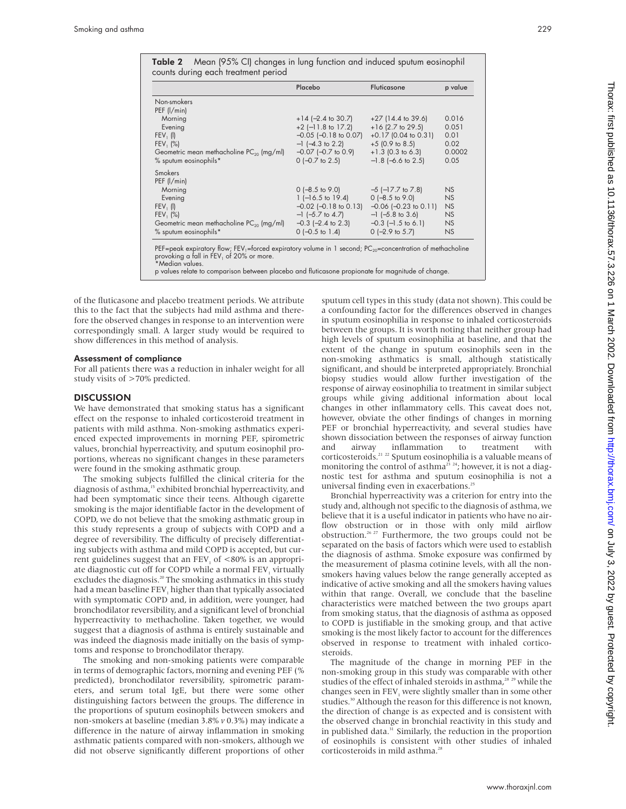Table 2 Mean (95% CI) changes in lung function and induced sputum eosinophil counts during each treatment period

|                                                      | Placebo                    | Fluticasone               | p value |
|------------------------------------------------------|----------------------------|---------------------------|---------|
| Non-smokers                                          |                            |                           |         |
| PEF (l/min)                                          |                            |                           |         |
| Morning                                              | $+14$ (-2.4 to 30.7)       | $+27$ (14.4 to 39.6)      | 0.016   |
| Evening                                              | $+2$ (-11.8 to 17.2)       | $+16$ (2.7 to 29.5)       | 0.051   |
| FEV, (I)                                             | $-0.05$ $[-0.18$ to 0.07]  | $+0.17$ (0.04 to 0.31)    | 0.01    |
| $FEV_1 (%)$                                          | $-1$ (-4.3 to 2.2)         | $+5$ (0.9 to 8.5)         | 0.02    |
| Geometric mean methacholine PC <sub>20</sub> (mg/ml) | $-0.07$ $[-0.7$ to 0.9     | $+1.3$ (0.3 to 6.3)       | 0.0002  |
| % sputum eosinophils*                                | $0$ (-0.7 to 2.5)          | $-1.8$ (-6.6 to 2.5)      | 0.05    |
| <b>Smokers</b>                                       |                            |                           |         |
| PEF (l/min)                                          |                            |                           |         |
| Morning                                              | $0$ (-8.5 to 9.0)          | $-5$ ( $-17.7$ to $7.8$ ) | NS      |
| Evening                                              | $1$ (-16.5 to 19.4)        | $0$ (-8.5 to 9.0)         | NS      |
| $FEV_1$ (I)                                          | $-0.02$ ( $-0.18$ to 0.13) | $-0.06$ $(-0.23$ to 0.11) | NS      |
| FEV, (%)                                             | $-1$ (-5.7 to 4.7)         | $-1$ (-5.8 to 3.6)        | NS      |
| Geometric mean methacholine PC <sub>20</sub> (mg/ml) | $-0.3$ ( $-2.4$ to 2.3)    | $-0.3$ ( $-1.5$ to 6.1)   | NS      |
| % sputum eosinophils*                                | $0$ (-0.5 to 1.4)          | $0$ (-2.9 to 5.7)         | NS      |

PEF=peak expiratory flow; FEV<sub>1</sub>=forced expiratory volume in 1 second; PC<sub>20</sub>=concentration of methacholine provoking a fall in  $\text{FEV}_1$  of 20% or more. \*Median values.

p values relate to comparison between placebo and fluticasone propionate for magnitude of change.

of the fluticasone and placebo treatment periods. We attribute this to the fact that the subjects had mild asthma and therefore the observed changes in response to an intervention were correspondingly small. A larger study would be required to show differences in this method of analysis.

## Assessment of compliance

For all patients there was a reduction in inhaler weight for all study visits of >70% predicted.

### **DISCUSSION**

We have demonstrated that smoking status has a significant effect on the response to inhaled corticosteroid treatment in patients with mild asthma. Non-smoking asthmatics experienced expected improvements in morning PEF, spirometric values, bronchial hyperreactivity, and sputum eosinophil proportions, whereas no significant changes in these parameters were found in the smoking asthmatic group.

The smoking subjects fulfilled the clinical criteria for the diagnosis of asthma,<sup>15</sup> exhibited bronchial hyperreactivity, and had been symptomatic since their teens. Although cigarette smoking is the major identifiable factor in the development of COPD, we do not believe that the smoking asthmatic group in this study represents a group of subjects with COPD and a degree of reversibility. The difficulty of precisely differentiating subjects with asthma and mild COPD is accepted, but current guidelines suggest that an  $FEV<sub>1</sub>$  of  $<80\%$  is an appropriate diagnostic cut off for COPD while a normal FEV, virtually excludes the diagnosis.<sup>20</sup> The smoking asthmatics in this study had a mean baseline FEV<sub>1</sub> higher than that typically associated with symptomatic COPD and, in addition, were younger, had bronchodilator reversibility, and a significant level of bronchial hyperreactivity to methacholine. Taken together, we would suggest that a diagnosis of asthma is entirely sustainable and was indeed the diagnosis made initially on the basis of symptoms and response to bronchodilator therapy.

The smoking and non-smoking patients were comparable in terms of demographic factors, morning and evening PEF (% predicted), bronchodilator reversibility, spirometric parameters, and serum total IgE, but there were some other distinguishing factors between the groups. The difference in the proportions of sputum eosinophils between smokers and non-smokers at baseline (median 3.8% *v* 0.3%) may indicate a difference in the nature of airway inflammation in smoking asthmatic patients compared with non-smokers, although we did not observe significantly different proportions of other

sputum cell types in this study (data not shown). This could be a confounding factor for the differences observed in changes in sputum eosinophilia in response to inhaled corticosteroids between the groups. It is worth noting that neither group had high levels of sputum eosinophilia at baseline, and that the extent of the change in sputum eosinophils seen in the non-smoking asthmatics is small, although statistically significant, and should be interpreted appropriately. Bronchial biopsy studies would allow further investigation of the response of airway eosinophilia to treatment in similar subject groups while giving additional information about local changes in other inflammatory cells. This caveat does not, however, obviate the other findings of changes in morning PEF or bronchial hyperreactivity, and several studies have shown dissociation between the responses of airway function and airway inflammation to treatment with corticosteroids.21 22 Sputum eosinophilia is a valuable means of monitoring the control of asthma<sup>23</sup> <sup>24</sup>; however, it is not a diagnostic test for asthma and sputum eosinophilia is not a universal finding even in exacerbations.<sup>25</sup>

Bronchial hyperreactivity was a criterion for entry into the study and, although not specific to the diagnosis of asthma, we believe that it is a useful indicator in patients who have no airflow obstruction or in those with only mild airflow obstruction.26 27 Furthermore, the two groups could not be separated on the basis of factors which were used to establish the diagnosis of asthma. Smoke exposure was confirmed by the measurement of plasma cotinine levels, with all the nonsmokers having values below the range generally accepted as indicative of active smoking and all the smokers having values within that range. Overall, we conclude that the baseline characteristics were matched between the two groups apart from smoking status, that the diagnosis of asthma as opposed to COPD is justifiable in the smoking group, and that active smoking is the most likely factor to account for the differences observed in response to treatment with inhaled corticosteroids.

The magnitude of the change in morning PEF in the non-smoking group in this study was comparable with other studies of the effect of inhaled steroids in asthma,<sup>28 29</sup> while the changes seen in  $FEV<sub>1</sub>$  were slightly smaller than in some other studies.<sup>30</sup> Although the reason for this difference is not known, the direction of change is as expected and is consistent with the observed change in bronchial reactivity in this study and in published data.<sup>31</sup> Similarly, the reduction in the proportion of eosinophils is consistent with other studies of inhaled corticosteroids in mild asthma.<sup>28</sup>